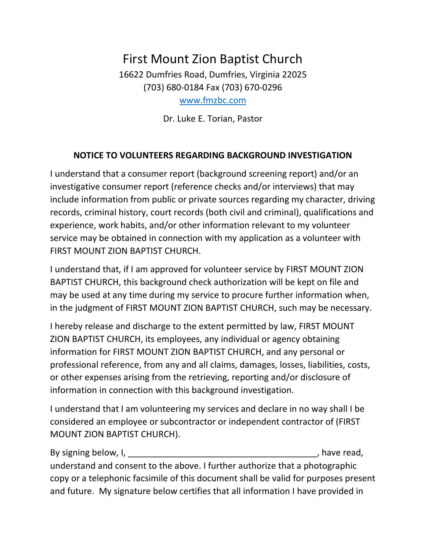## First Mount Zion Baptist Church 16622 Dumfries Road, Dumfries, Virginia 22025 (703) 680-0184 Fax (703) 670-0296 [www.fmzbc.com](http://www.fmzbc.com/)

Dr. Luke E. Torian, Pastor

## **NOTICE TO VOLUNTEERS REGARDING BACKGROUND INVESTIGATION**

I understand that a consumer report (background screening report) and/or an investigative consumer report (reference checks and/or interviews) that may include information from public or private sources regarding my character, driving records, criminal history, court records (both civil and criminal), qualifications and experience, work habits, and/or other information relevant to my volunteer service may be obtained in connection with my application as a volunteer with FIRST MOUNT ZION BAPTIST CHURCH.

I understand that, if I am approved for volunteer service by FIRST MOUNT ZION BAPTIST CHURCH, this background check authorization will be kept on file and may be used at any time during my service to procure further information when, in the judgment of FIRST MOUNT ZION BAPTIST CHURCH, such may be necessary.

I hereby release and discharge to the extent permitted by law, FIRST MOUNT ZION BAPTIST CHURCH, its employees, any individual or agency obtaining information for FIRST MOUNT ZION BAPTIST CHURCH, and any personal or professional reference, from any and all claims, damages, losses, liabilities, costs, or other expenses arising from the retrieving, reporting and/or disclosure of information in connection with this background investigation.

I understand that I am volunteering my services and declare in no way shall I be considered an employee or subcontractor or independent contractor of (FIRST MOUNT ZION BAPTIST CHURCH).

By signing below, I, \_\_\_\_\_\_\_\_\_\_\_\_\_\_\_\_\_\_\_\_\_\_\_\_\_\_\_\_\_\_\_\_\_\_\_\_\_\_\_, have read, understand and consent to the above. I further authorize that a photographic copy or a telephonic facsimile of this document shall be valid for purposes present and future. My signature below certifies that all information I have provided in